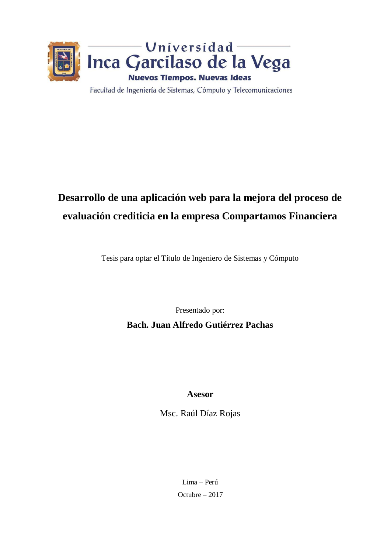

## **Desarrollo de una aplicación web para la mejora del proceso de evaluación crediticia en la empresa Compartamos Financiera**

Tesis para optar el Título de Ingeniero de Sistemas y Cómputo

Presentado por:

**Bach. Juan Alfredo Gutiérrez Pachas**

**Asesor**

Msc. Raúl Díaz Rojas

Lima – Perú Octubre – 2017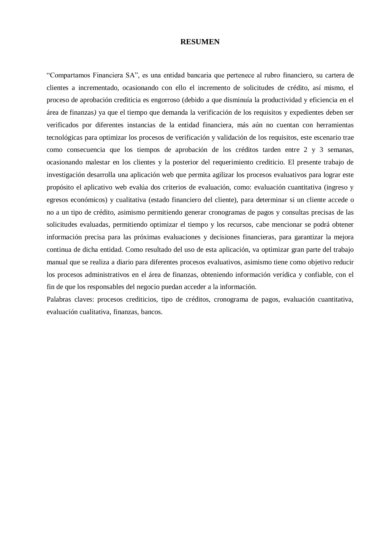## **RESUMEN**

"Compartamos Financiera SA", es una entidad bancaria que pertenece al rubro financiero, su cartera de clientes a incrementado, ocasionando con ello el incremento de solicitudes de crédito, así mismo, el proceso de aprobación crediticia es engorroso (debido a que disminuía la productividad y eficiencia en el área de finanzas*)* ya que el tiempo que demanda la verificación de los requisitos y expedientes deben ser verificados por diferentes instancias de la entidad financiera, más aún no cuentan con herramientas tecnológicas para optimizar los procesos de verificación y validación de los requisitos, este escenario trae como consecuencia que los tiempos de aprobación de los créditos tarden entre 2 y 3 semanas, ocasionando malestar en los clientes y la posterior del requerimiento crediticio. El presente trabajo de investigación desarrolla una aplicación web que permita agilizar los procesos evaluativos para lograr este propósito el aplicativo web evalúa dos criterios de evaluación, como: evaluación cuantitativa (ingreso y egresos económicos) y cualitativa (estado financiero del cliente), para determinar si un cliente accede o no a un tipo de crédito, asimismo permitiendo generar cronogramas de pagos y consultas precisas de las solicitudes evaluadas, permitiendo optimizar el tiempo y los recursos, cabe mencionar se podrá obtener información precisa para las próximas evaluaciones y decisiones financieras, para garantizar la mejora continua de dicha entidad. Como resultado del uso de esta aplicación, va optimizar gran parte del trabajo manual que se realiza a diario para diferentes procesos evaluativos, asimismo tiene como objetivo reducir los procesos administrativos en el área de finanzas, obteniendo información verídica y confiable, con el fin de que los responsables del negocio puedan acceder a la información.

Palabras claves: procesos crediticios, tipo de créditos, cronograma de pagos, evaluación cuantitativa, evaluación cualitativa, finanzas, bancos.